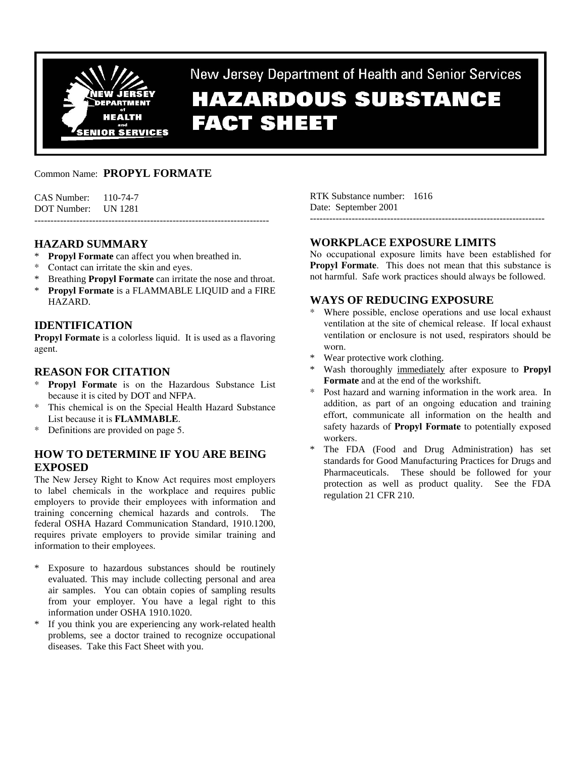

New Jersey Department of Health and Senior Services

# **HAZARDOUS SUBSTANCE FACT SHEET**

# Common Name: **PROPYL FORMATE**

CAS Number: 110-74-7 DOT Number: UN 1281 -------------------------------------------------------------------------

# **HAZARD SUMMARY**

- **Propyl Formate** can affect you when breathed in.
- \* Contact can irritate the skin and eyes.
- Breathing **Propyl Formate** can irritate the nose and throat.
- \* **Propyl Formate** is a FLAMMABLE LIQUID and a FIRE HAZARD.

## **IDENTIFICATION**

**Propyl Formate** is a colorless liquid. It is used as a flavoring agent.

# **REASON FOR CITATION**

- Propyl Formate is on the Hazardous Substance List because it is cited by DOT and NFPA.
- \* This chemical is on the Special Health Hazard Substance List because it is **FLAMMABLE**.
- \* Definitions are provided on page 5.

# **HOW TO DETERMINE IF YOU ARE BEING EXPOSED**

The New Jersey Right to Know Act requires most employers to label chemicals in the workplace and requires public employers to provide their employees with information and training concerning chemical hazards and controls. The federal OSHA Hazard Communication Standard, 1910.1200, requires private employers to provide similar training and information to their employees.

- \* Exposure to hazardous substances should be routinely evaluated. This may include collecting personal and area air samples. You can obtain copies of sampling results from your employer. You have a legal right to this information under OSHA 1910.1020.
- \* If you think you are experiencing any work-related health problems, see a doctor trained to recognize occupational diseases. Take this Fact Sheet with you.

RTK Substance number: 1616 Date: September 2001

# **WORKPLACE EXPOSURE LIMITS**

No occupational exposure limits have been established for **Propyl Formate.** This does not mean that this substance is not harmful. Safe work practices should always be followed.

-------------------------------------------------------------------------

## **WAYS OF REDUCING EXPOSURE**

- Where possible, enclose operations and use local exhaust ventilation at the site of chemical release. If local exhaust ventilation or enclosure is not used, respirators should be worn.
- Wear protective work clothing.
- Wash thoroughly immediately after exposure to **Propyl Formate** and at the end of the workshift.
- Post hazard and warning information in the work area. In addition, as part of an ongoing education and training effort, communicate all information on the health and safety hazards of **Propyl Formate** to potentially exposed workers.
- The FDA (Food and Drug Administration) has set standards for Good Manufacturing Practices for Drugs and Pharmaceuticals. These should be followed for your protection as well as product quality. See the FDA regulation 21 CFR 210.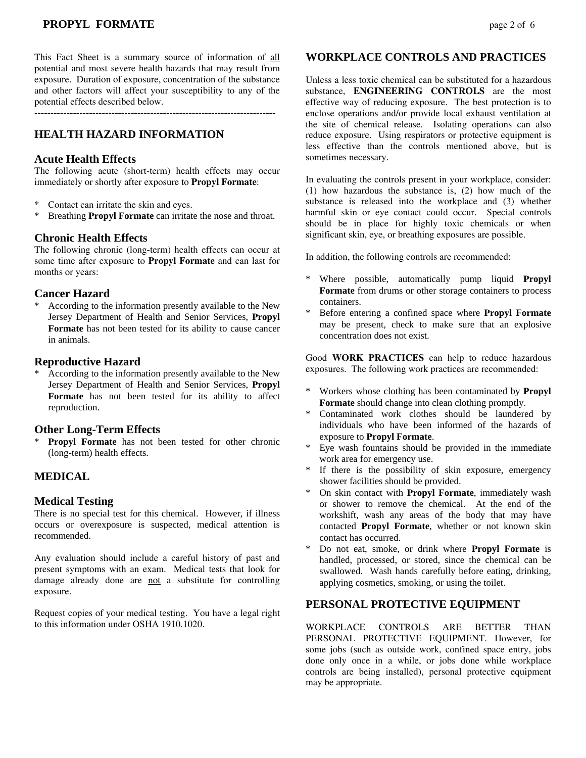# **PROPYL FORMATE** page 2 of 6

This Fact Sheet is a summary source of information of all potential and most severe health hazards that may result from exposure. Duration of exposure, concentration of the substance and other factors will affect your susceptibility to any of the potential effects described below.

---------------------------------------------------------------------------

## **HEALTH HAZARD INFORMATION**

#### **Acute Health Effects**

The following acute (short-term) health effects may occur immediately or shortly after exposure to **Propyl Formate**:

- \* Contact can irritate the skin and eyes.
- \* Breathing **Propyl Formate** can irritate the nose and throat.

#### **Chronic Health Effects**

The following chronic (long-term) health effects can occur at some time after exposure to **Propyl Formate** and can last for months or years:

## **Cancer Hazard**

According to the information presently available to the New Jersey Department of Health and Senior Services, **Propyl Formate** has not been tested for its ability to cause cancer in animals.

#### **Reproductive Hazard**

According to the information presently available to the New Jersey Department of Health and Senior Services, **Propyl Formate** has not been tested for its ability to affect reproduction.

#### **Other Long-Term Effects**

**Propyl Formate** has not been tested for other chronic (long-term) health effects.

## **MEDICAL**

#### **Medical Testing**

There is no special test for this chemical. However, if illness occurs or overexposure is suspected, medical attention is recommended.

Any evaluation should include a careful history of past and present symptoms with an exam. Medical tests that look for damage already done are not a substitute for controlling exposure.

Request copies of your medical testing. You have a legal right to this information under OSHA 1910.1020.

#### **WORKPLACE CONTROLS AND PRACTICES**

Unless a less toxic chemical can be substituted for a hazardous substance, **ENGINEERING CONTROLS** are the most effective way of reducing exposure. The best protection is to enclose operations and/or provide local exhaust ventilation at the site of chemical release. Isolating operations can also reduce exposure. Using respirators or protective equipment is less effective than the controls mentioned above, but is sometimes necessary.

In evaluating the controls present in your workplace, consider: (1) how hazardous the substance is, (2) how much of the substance is released into the workplace and (3) whether harmful skin or eye contact could occur. Special controls should be in place for highly toxic chemicals or when significant skin, eye, or breathing exposures are possible.

In addition, the following controls are recommended:

- \* Where possible, automatically pump liquid **Propyl Formate** from drums or other storage containers to process containers.
- \* Before entering a confined space where **Propyl Formate** may be present, check to make sure that an explosive concentration does not exist.

Good **WORK PRACTICES** can help to reduce hazardous exposures. The following work practices are recommended:

- \* Workers whose clothing has been contaminated by **Propyl Formate** should change into clean clothing promptly.
- \* Contaminated work clothes should be laundered by individuals who have been informed of the hazards of exposure to **Propyl Formate**.
- \* Eye wash fountains should be provided in the immediate work area for emergency use.
- \* If there is the possibility of skin exposure, emergency shower facilities should be provided.
- \* On skin contact with **Propyl Formate**, immediately wash or shower to remove the chemical. At the end of the workshift, wash any areas of the body that may have contacted **Propyl Formate**, whether or not known skin contact has occurred.
- \* Do not eat, smoke, or drink where **Propyl Formate** is handled, processed, or stored, since the chemical can be swallowed. Wash hands carefully before eating, drinking, applying cosmetics, smoking, or using the toilet.

#### **PERSONAL PROTECTIVE EQUIPMENT**

WORKPLACE CONTROLS ARE BETTER THAN PERSONAL PROTECTIVE EQUIPMENT. However, for some jobs (such as outside work, confined space entry, jobs done only once in a while, or jobs done while workplace controls are being installed), personal protective equipment may be appropriate.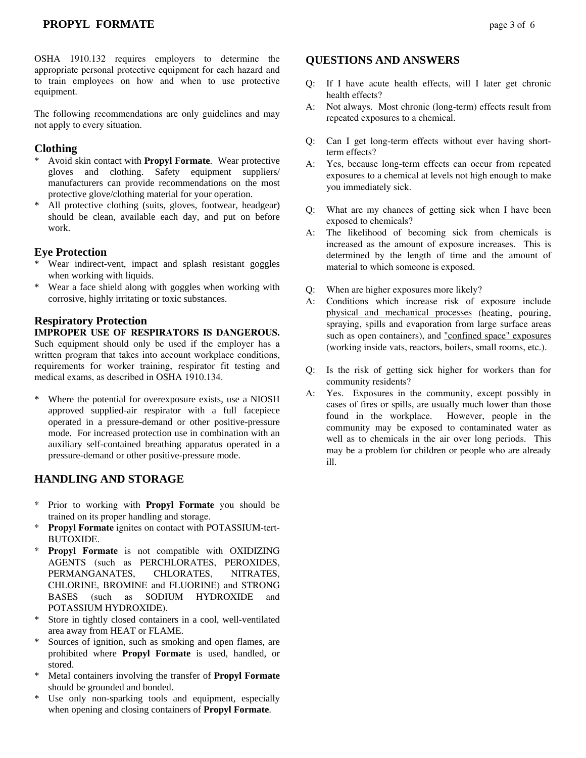## **PROPYL FORMATE** page 3 of 6

OSHA 1910.132 requires employers to determine the appropriate personal protective equipment for each hazard and to train employees on how and when to use protective equipment.

The following recommendations are only guidelines and may not apply to every situation.

## **Clothing**

- \* Avoid skin contact with **Propyl Formate**. Wear protective gloves and clothing. Safety equipment suppliers/ manufacturers can provide recommendations on the most protective glove/clothing material for your operation.
- \* All protective clothing (suits, gloves, footwear, headgear) should be clean, available each day, and put on before work.

#### **Eye Protection**

- Wear indirect-vent, impact and splash resistant goggles when working with liquids.
- \* Wear a face shield along with goggles when working with corrosive, highly irritating or toxic substances.

#### **Respiratory Protection**

**IMPROPER USE OF RESPIRATORS IS DANGEROUS.** Such equipment should only be used if the employer has a written program that takes into account workplace conditions, requirements for worker training, respirator fit testing and medical exams, as described in OSHA 1910.134.

\* Where the potential for overexposure exists, use a NIOSH approved supplied-air respirator with a full facepiece operated in a pressure-demand or other positive-pressure mode. For increased protection use in combination with an auxiliary self-contained breathing apparatus operated in a pressure-demand or other positive-pressure mode.

## **HANDLING AND STORAGE**

- \* Prior to working with **Propyl Formate** you should be trained on its proper handling and storage.
- \* **Propyl Formate** ignites on contact with POTASSIUM-tert-BUTOXIDE.
- \* **Propyl Formate** is not compatible with OXIDIZING AGENTS (such as PERCHLORATES, PEROXIDES, PERMANGANATES, CHLORATES, NITRATES, CHLORINE, BROMINE and FLUORINE) and STRONG BASES (such as SODIUM HYDROXIDE and POTASSIUM HYDROXIDE).
- Store in tightly closed containers in a cool, well-ventilated area away from HEAT or FLAME.
- Sources of ignition, such as smoking and open flames, are prohibited where **Propyl Formate** is used, handled, or stored.
- \* Metal containers involving the transfer of **Propyl Formate** should be grounded and bonded.
- Use only non-sparking tools and equipment, especially when opening and closing containers of **Propyl Formate**.

#### **QUESTIONS AND ANSWERS**

- Q: If I have acute health effects, will I later get chronic health effects?
- A: Not always. Most chronic (long-term) effects result from repeated exposures to a chemical.
- Q: Can I get long-term effects without ever having shortterm effects?
- A: Yes, because long-term effects can occur from repeated exposures to a chemical at levels not high enough to make you immediately sick.
- Q: What are my chances of getting sick when I have been exposed to chemicals?
- A: The likelihood of becoming sick from chemicals is increased as the amount of exposure increases. This is determined by the length of time and the amount of material to which someone is exposed.
- Q: When are higher exposures more likely?
- A: Conditions which increase risk of exposure include physical and mechanical processes (heating, pouring, spraying, spills and evaporation from large surface areas such as open containers), and "confined space" exposures (working inside vats, reactors, boilers, small rooms, etc.).
- Q: Is the risk of getting sick higher for workers than for community residents?
- A: Yes. Exposures in the community, except possibly in cases of fires or spills, are usually much lower than those found in the workplace. However, people in the community may be exposed to contaminated water as well as to chemicals in the air over long periods. This may be a problem for children or people who are already ill.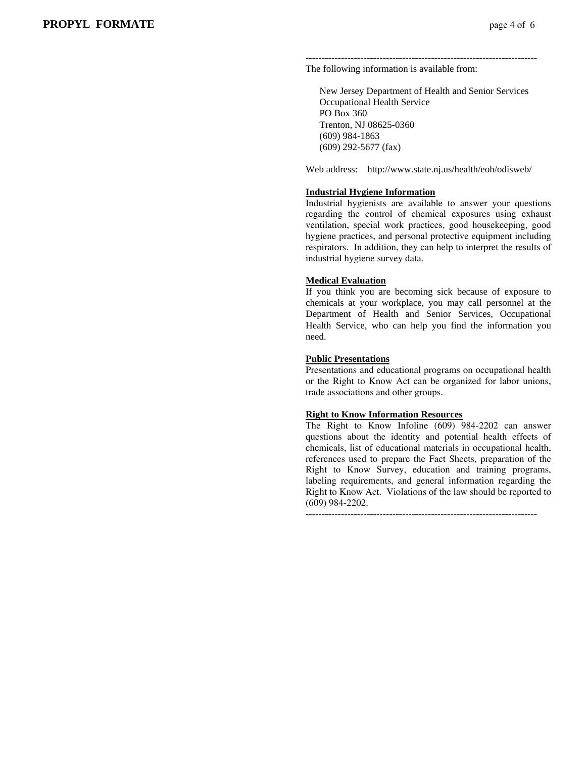------------------------------------------------------------------------ The following information is available from:

 New Jersey Department of Health and Senior Services Occupational Health Service PO Box 360 Trenton, NJ 08625-0360 (609) 984-1863 (609) 292-5677 (fax)

Web address: http://www.state.nj.us/health/eoh/odisweb/

#### **Industrial Hygiene Information**

Industrial hygienists are available to answer your questions regarding the control of chemical exposures using exhaust ventilation, special work practices, good housekeeping, good hygiene practices, and personal protective equipment including respirators. In addition, they can help to interpret the results of industrial hygiene survey data.

#### **Medical Evaluation**

If you think you are becoming sick because of exposure to chemicals at your workplace, you may call personnel at the Department of Health and Senior Services, Occupational Health Service, who can help you find the information you need.

#### **Public Presentations**

Presentations and educational programs on occupational health or the Right to Know Act can be organized for labor unions, trade associations and other groups.

#### **Right to Know Information Resources**

The Right to Know Infoline (609) 984-2202 can answer questions about the identity and potential health effects of chemicals, list of educational materials in occupational health, references used to prepare the Fact Sheets, preparation of the Right to Know Survey, education and training programs, labeling requirements, and general information regarding the Right to Know Act. Violations of the law should be reported to (609) 984-2202.

------------------------------------------------------------------------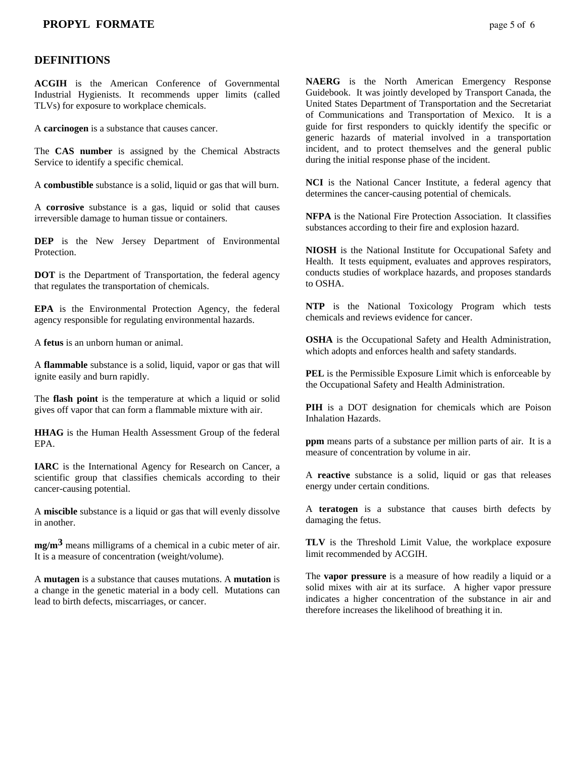## **DEFINITIONS**

**ACGIH** is the American Conference of Governmental Industrial Hygienists. It recommends upper limits (called TLVs) for exposure to workplace chemicals.

A **carcinogen** is a substance that causes cancer.

The **CAS number** is assigned by the Chemical Abstracts Service to identify a specific chemical.

A **combustible** substance is a solid, liquid or gas that will burn.

A **corrosive** substance is a gas, liquid or solid that causes irreversible damage to human tissue or containers.

**DEP** is the New Jersey Department of Environmental Protection.

**DOT** is the Department of Transportation, the federal agency that regulates the transportation of chemicals.

**EPA** is the Environmental Protection Agency, the federal agency responsible for regulating environmental hazards.

A **fetus** is an unborn human or animal.

A **flammable** substance is a solid, liquid, vapor or gas that will ignite easily and burn rapidly.

The **flash point** is the temperature at which a liquid or solid gives off vapor that can form a flammable mixture with air.

**HHAG** is the Human Health Assessment Group of the federal EPA.

**IARC** is the International Agency for Research on Cancer, a scientific group that classifies chemicals according to their cancer-causing potential.

A **miscible** substance is a liquid or gas that will evenly dissolve in another.

**mg/m3** means milligrams of a chemical in a cubic meter of air. It is a measure of concentration (weight/volume).

A **mutagen** is a substance that causes mutations. A **mutation** is a change in the genetic material in a body cell. Mutations can lead to birth defects, miscarriages, or cancer.

**NAERG** is the North American Emergency Response Guidebook. It was jointly developed by Transport Canada, the United States Department of Transportation and the Secretariat of Communications and Transportation of Mexico. It is a guide for first responders to quickly identify the specific or generic hazards of material involved in a transportation incident, and to protect themselves and the general public during the initial response phase of the incident.

**NCI** is the National Cancer Institute, a federal agency that determines the cancer-causing potential of chemicals.

**NFPA** is the National Fire Protection Association. It classifies substances according to their fire and explosion hazard.

**NIOSH** is the National Institute for Occupational Safety and Health. It tests equipment, evaluates and approves respirators, conducts studies of workplace hazards, and proposes standards to OSHA.

**NTP** is the National Toxicology Program which tests chemicals and reviews evidence for cancer.

**OSHA** is the Occupational Safety and Health Administration, which adopts and enforces health and safety standards.

**PEL** is the Permissible Exposure Limit which is enforceable by the Occupational Safety and Health Administration.

**PIH** is a DOT designation for chemicals which are Poison Inhalation Hazards.

**ppm** means parts of a substance per million parts of air. It is a measure of concentration by volume in air.

A **reactive** substance is a solid, liquid or gas that releases energy under certain conditions.

A **teratogen** is a substance that causes birth defects by damaging the fetus.

**TLV** is the Threshold Limit Value, the workplace exposure limit recommended by ACGIH.

The **vapor pressure** is a measure of how readily a liquid or a solid mixes with air at its surface. A higher vapor pressure indicates a higher concentration of the substance in air and therefore increases the likelihood of breathing it in.